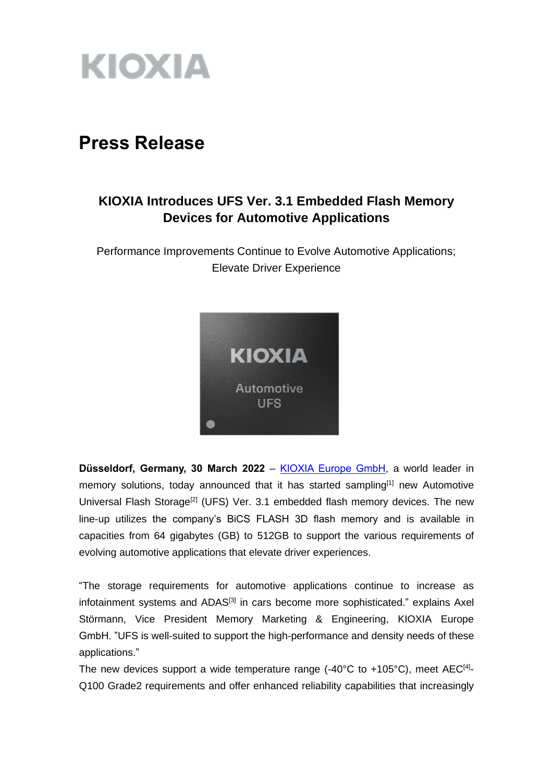

# **Press Release**

# **KIOXIA Introduces UFS Ver. 3.1 Embedded Flash Memory Devices for Automotive Applications**

Performance Improvements Continue to Evolve Automotive Applications; Elevate Driver Experience



**Düsseldorf, Germany, 30 March 2022** – [KIOXIA Europe GmbH,](https://www.kioxia.com/en-emea/top.html) a world leader in memory solutions, today announced that it has started sampling<sup>[1]</sup> new Automotive Universal Flash Storage<sup>[2]</sup> (UFS) Ver. 3.1 embedded flash memory devices. The new line-up utilizes the company's BiCS FLASH 3D flash memory and is available in capacities from 64 gigabytes (GB) to 512GB to support the various requirements of evolving automotive applications that elevate driver experiences.

"The storage requirements for automotive applications continue to increase as infotainment systems and ADAS<sup>[3]</sup> in cars become more sophisticated." explains Axel Störmann, Vice President Memory Marketing & Engineering, KIOXIA Europe GmbH. "UFS is well-suited to support the high-performance and density needs of these applications."

The new devices support a wide temperature range  $(-40^{\circ}C$  to  $+105^{\circ}C)$ , meet AEC<sup>[4]</sup>-Q100 Grade2 requirements and offer enhanced reliability capabilities that increasingly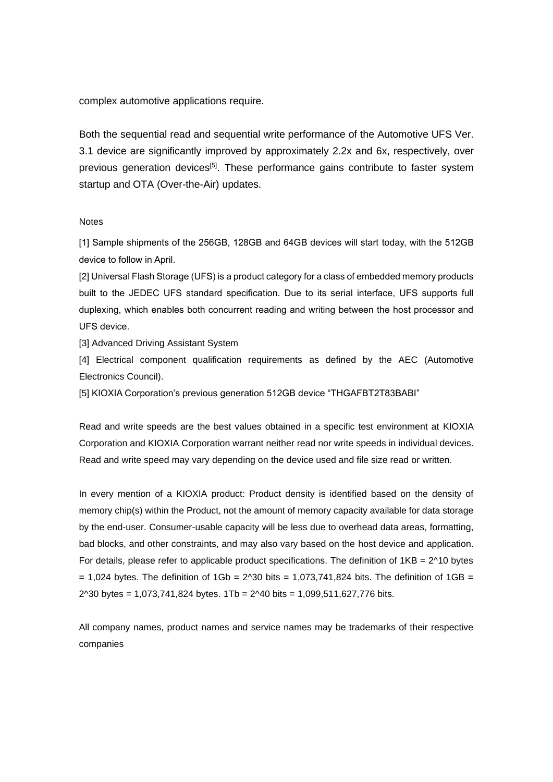complex automotive applications require.

Both the sequential read and sequential write performance of the Automotive UFS Ver. 3.1 device are significantly improved by approximately 2.2x and 6x, respectively, over previous generation devices<sup>[5]</sup>. These performance gains contribute to faster system startup and OTA (Over-the-Air) updates.

# **Notes**

[1] Sample shipments of the 256GB, 128GB and 64GB devices will start today, with the 512GB device to follow in April.

[2] Universal Flash Storage (UFS) is a product category for a class of embedded memory products built to the JEDEC UFS standard specification. Due to its serial interface, UFS supports full duplexing, which enables both concurrent reading and writing between the host processor and UFS device.

[3] Advanced Driving Assistant System

[4] Electrical component qualification requirements as defined by the AEC (Automotive Electronics Council).

[5] KIOXIA Corporation's previous generation 512GB device "THGAFBT2T83BABI"

Read and write speeds are the best values obtained in a specific test environment at KIOXIA Corporation and KIOXIA Corporation warrant neither read nor write speeds in individual devices. Read and write speed may vary depending on the device used and file size read or written.

In every mention of a KIOXIA product: Product density is identified based on the density of memory chip(s) within the Product, not the amount of memory capacity available for data storage by the end-user. Consumer-usable capacity will be less due to overhead data areas, formatting, bad blocks, and other constraints, and may also vary based on the host device and application. For details, please refer to applicable product specifications. The definition of  $1KB = 2^N10$  bytes  $= 1,024$  bytes. The definition of  $1Gb = 2<sup>0</sup>30$  bits = 1,073,741,824 bits. The definition of  $1GB =$ 2^30 bytes = 1,073,741,824 bytes. 1Tb = 2^40 bits = 1,099,511,627,776 bits.

All company names, product names and service names may be trademarks of their respective companies